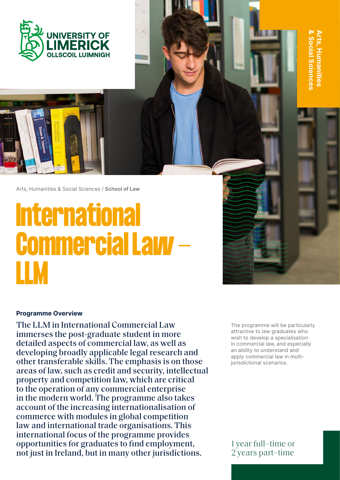



Arts, Humanities & Social Sciences / **School of Law**

# **International Commercial Law - LLM**

#### **Programme Overview**

The LLM in International Commercial Law immerses the post-graduate student in more detailed aspects of commercial law, as well as developing broadly applicable legal research and other transferable skills. The emphasis is on those areas of law, such as credit and security, intellectual property and competition law, which are critical to the operation of any commercial enterprise in the modern world. The programme also takes account of the increasing internationalisation of commerce with modules in global competition law and international trade organisations. This international focus of the programme provides opportunities for graduates to find employment, not just in Ireland, but in many other jurisdictions.

The programme will be particularly attractive to law graduates who wish to develop a specialisation in commercial law, and especially an ability to understand and apply commercial law in multijurisdictional scenarios.

**& Social Sciences Arts, Humanities** 

rts, Humanities ocial Sciences

1 year full–time or 2 years part–time